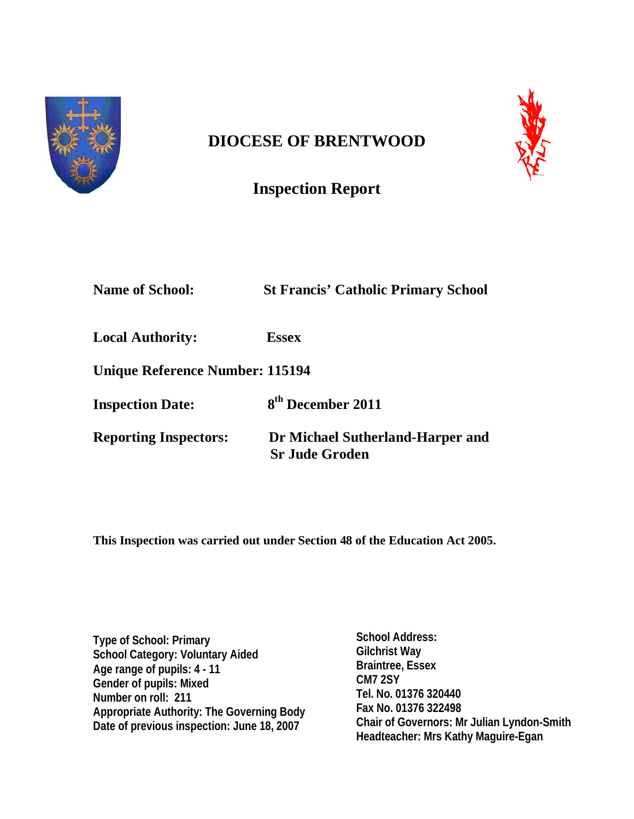

# **DIOCESE OF BRENTWOOD**



# **Inspection Report**

| <b>Name of School:</b>          | <b>St Francis' Catholic Primary School</b>                |
|---------------------------------|-----------------------------------------------------------|
| <b>Local Authority:</b>         | <b>Essex</b>                                              |
| Unique Reference Number: 115194 |                                                           |
| <b>Inspection Date:</b>         | 8 <sup>th</sup> December 2011                             |
| <b>Reporting Inspectors:</b>    | Dr Michael Sutherland-Harper and<br><b>Sr Jude Groden</b> |

**This Inspection was carried out under Section 48 of the Education Act 2005.**

**Type of School: Primary School Category: Voluntary Aided Age range of pupils: 4 - 11 Gender of pupils: Mixed Number on roll: 211 Appropriate Authority: The Governing Body Date of previous inspection: June 18, 2007**

**School Address: Gilchrist Way Braintree, Essex CM7 2SY Tel. No. 01376 320440 Fax No. 01376 322498 Chair of Governors: Mr Julian Lyndon-Smith Headteacher: Mrs Kathy Maguire-Egan**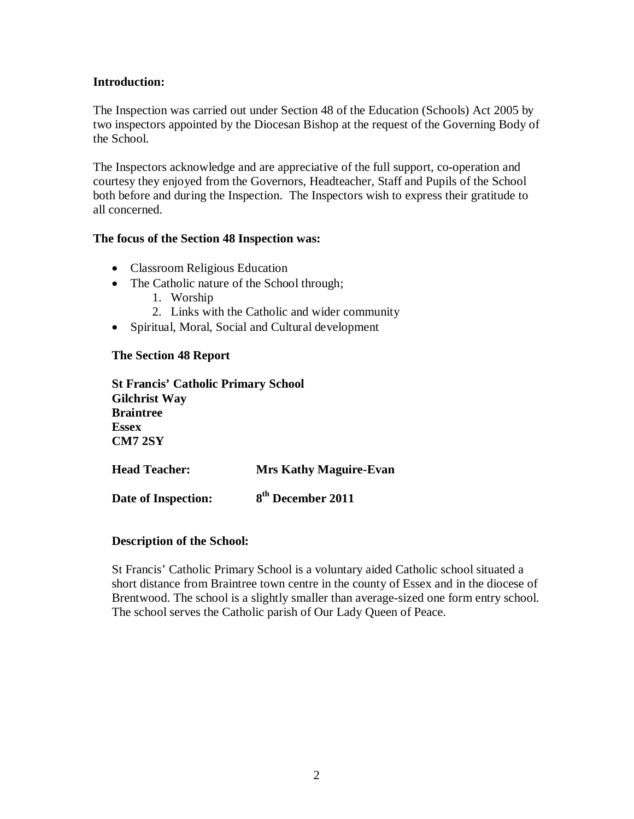## **Introduction:**

The Inspection was carried out under Section 48 of the Education (Schools) Act 2005 by two inspectors appointed by the Diocesan Bishop at the request of the Governing Body of the School.

The Inspectors acknowledge and are appreciative of the full support, co-operation and courtesy they enjoyed from the Governors, Headteacher, Staff and Pupils of the School both before and during the Inspection. The Inspectors wish to express their gratitude to all concerned.

#### **The focus of the Section 48 Inspection was:**

- Classroom Religious Education
- The Catholic nature of the School through;
	- 1. Worship
	- 2. Links with the Catholic and wider community
- Spiritual, Moral, Social and Cultural development

#### **The Section 48 Report**

**St Francis' Catholic Primary School Gilchrist Way Braintree Essex CM7 2SY**

**Head Teacher: Mrs Kathy Maguire-Evan** Date of Inspection: 8<sup>th</sup> December 2011

#### **Description of the School:**

St Francis' Catholic Primary School is a voluntary aided Catholic school situated a short distance from Braintree town centre in the county of Essex and in the diocese of Brentwood. The school is a slightly smaller than average-sized one form entry school. The school serves the Catholic parish of Our Lady Queen of Peace.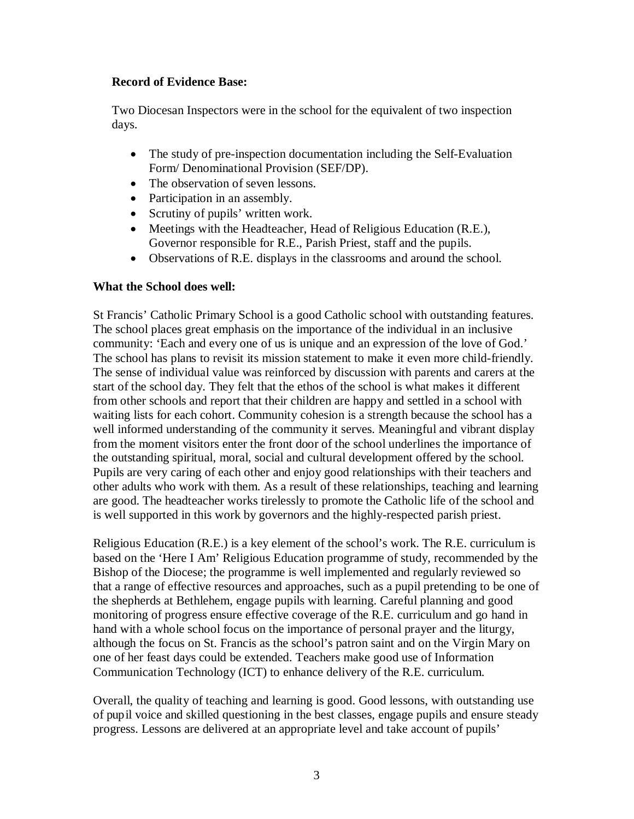## **Record of Evidence Base:**

Two Diocesan Inspectors were in the school for the equivalent of two inspection days.

- The study of pre-inspection documentation including the Self-Evaluation Form/ Denominational Provision (SEF/DP).
- The observation of seven lessons.
- Participation in an assembly.
- Scrutiny of pupils' written work.
- Meetings with the Headteacher, Head of Religious Education (R.E.), Governor responsible for R.E., Parish Priest, staff and the pupils.
- Observations of R.E. displays in the classrooms and around the school.

#### **What the School does well:**

St Francis' Catholic Primary School is a good Catholic school with outstanding features. The school places great emphasis on the importance of the individual in an inclusive community: 'Each and every one of us is unique and an expression of the love of God.' The school has plans to revisit its mission statement to make it even more child-friendly. The sense of individual value was reinforced by discussion with parents and carers at the start of the school day. They felt that the ethos of the school is what makes it different from other schools and report that their children are happy and settled in a school with waiting lists for each cohort. Community cohesion is a strength because the school has a well informed understanding of the community it serves. Meaningful and vibrant display from the moment visitors enter the front door of the school underlines the importance of the outstanding spiritual, moral, social and cultural development offered by the school. Pupils are very caring of each other and enjoy good relationships with their teachers and other adults who work with them. As a result of these relationships, teaching and learning are good. The headteacher works tirelessly to promote the Catholic life of the school and is well supported in this work by governors and the highly-respected parish priest.

Religious Education (R.E.) is a key element of the school's work. The R.E. curriculum is based on the 'Here I Am' Religious Education programme of study, recommended by the Bishop of the Diocese; the programme is well implemented and regularly reviewed so that a range of effective resources and approaches, such as a pupil pretending to be one of the shepherds at Bethlehem, engage pupils with learning. Careful planning and good monitoring of progress ensure effective coverage of the R.E. curriculum and go hand in hand with a whole school focus on the importance of personal prayer and the liturgy, although the focus on St. Francis as the school's patron saint and on the Virgin Mary on one of her feast days could be extended. Teachers make good use of Information Communication Technology (ICT) to enhance delivery of the R.E. curriculum.

Overall, the quality of teaching and learning is good. Good lessons, with outstanding use of pupil voice and skilled questioning in the best classes, engage pupils and ensure steady progress. Lessons are delivered at an appropriate level and take account of pupils'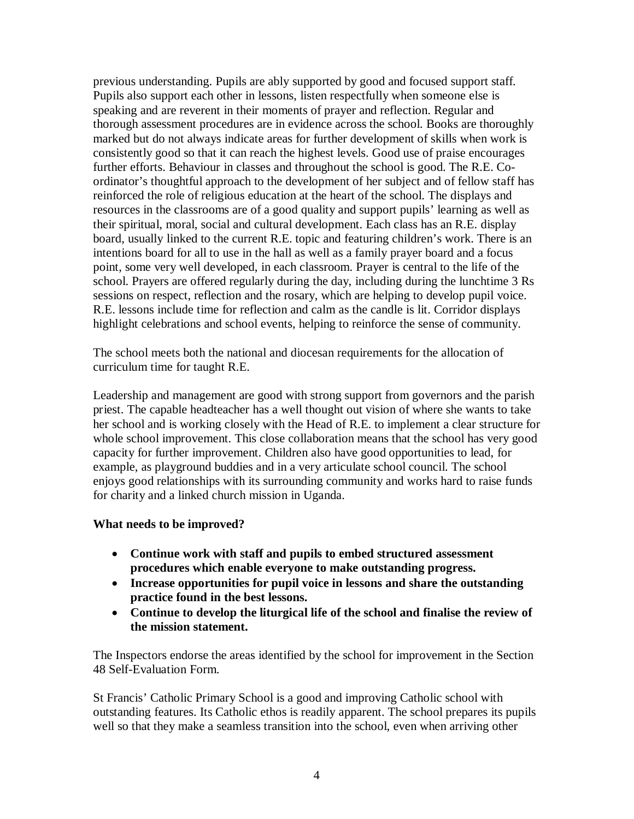previous understanding. Pupils are ably supported by good and focused support staff. Pupils also support each other in lessons, listen respectfully when someone else is speaking and are reverent in their moments of prayer and reflection. Regular and thorough assessment procedures are in evidence across the school. Books are thoroughly marked but do not always indicate areas for further development of skills when work is consistently good so that it can reach the highest levels. Good use of praise encourages further efforts. Behaviour in classes and throughout the school is good. The R.E. Coordinator's thoughtful approach to the development of her subject and of fellow staff has reinforced the role of religious education at the heart of the school. The displays and resources in the classrooms are of a good quality and support pupils' learning as well as their spiritual, moral, social and cultural development. Each class has an R.E. display board, usually linked to the current R.E. topic and featuring children's work. There is an intentions board for all to use in the hall as well as a family prayer board and a focus point, some very well developed, in each classroom. Prayer is central to the life of the school. Prayers are offered regularly during the day, including during the lunchtime 3 Rs sessions on respect, reflection and the rosary, which are helping to develop pupil voice. R.E. lessons include time for reflection and calm as the candle is lit. Corridor displays highlight celebrations and school events, helping to reinforce the sense of community.

The school meets both the national and diocesan requirements for the allocation of curriculum time for taught R.E.

Leadership and management are good with strong support from governors and the parish priest. The capable headteacher has a well thought out vision of where she wants to take her school and is working closely with the Head of R.E. to implement a clear structure for whole school improvement. This close collaboration means that the school has very good capacity for further improvement. Children also have good opportunities to lead, for example, as playground buddies and in a very articulate school council. The school enjoys good relationships with its surrounding community and works hard to raise funds for charity and a linked church mission in Uganda.

#### **What needs to be improved?**

- **Continue work with staff and pupils to embed structured assessment procedures which enable everyone to make outstanding progress.**
- **Increase opportunities for pupil voice in lessons and share the outstanding practice found in the best lessons.**
- **Continue to develop the liturgical life of the school and finalise the review of the mission statement.**

The Inspectors endorse the areas identified by the school for improvement in the Section 48 Self-Evaluation Form.

St Francis' Catholic Primary School is a good and improving Catholic school with outstanding features. Its Catholic ethos is readily apparent. The school prepares its pupils well so that they make a seamless transition into the school, even when arriving other